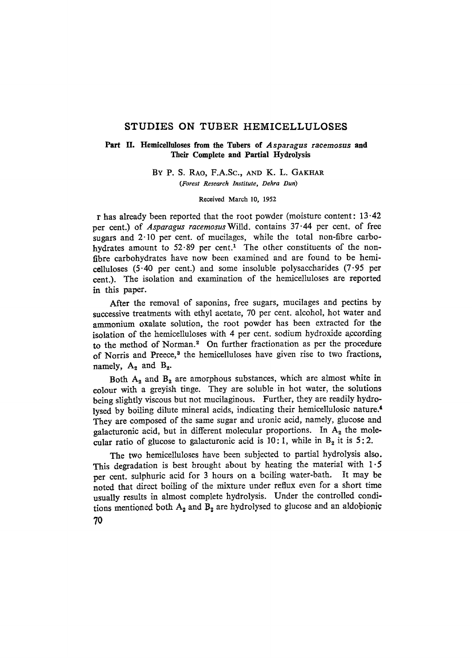# STUDIES ON TUBER HEMICELLULOSES

## Part IL Hemleelluloses **from the Tubers of** *Asparagus racemosus* **and**  Their **Complete and Partial** Hydrolysis

BY P. S. RAO, F.A.SC., AND K. L. GAKHAR *(Forest Research Institute, Dehra Dun)* 

#### Received March 10, 1952

r has already been reported that the root powder (moisture content: 13-42 per cent.) of *Asparagus racemosus* Willd. contains 37.44 per cent. of free sugars and 2-10 per cent. of mucilages, while the total non-fibre carbohydrates amount to  $52.89$  per cent.<sup>1</sup> The other constituents of the nonfibre carbohydrates have now been examined and are found to be hemicelluloses  $(5.40 \text{ per cent.})$  and some insoluble polysaccharides  $(7.95 \text{ per}$ cent.). The isolation and examination of the hemicelluloses are reported in this paper.

After the removal of saponins, free sugars, mucilages and pectins by successive treatments with ethyl acetate, 70 per cent. alcohol, hot water and ammonium oxalate solution, the root powder has been extracted for the isolation of the hemicelluloses with 4 per cent. sodium hydroxide according to the method of Norman." On further fractionation as per the procedure of Norris and Preece,<sup>3</sup> the hemicelluloses have given rise to two fractions, namely,  $A_2$  and  $B_2$ .

Both  $A_2$  and  $B_2$  are amorphous substances, which are almost white in colour with a greyish tinge. They are soluble in hot water, the solutions being slightly viscous but not mucilaginous. Further, they are readily hydrolysed by boiling dilute mineral acids, indicating their hemicellulosie nature. 4 They are composed of the same sugar and uronic acid, namely, glucose and galacturonic acid, but in different molecular proportions. In  $A_2$  the molecular ratio of glucose to galacturonic acid is 10:1, while in  $B<sub>2</sub>$  it is 5:2.

The two hemicelluloses have been subjected to partial hydrolysis also. This degradation is best brought about by heating the material with  $1.5$ per cent. sulphuric acid for 3 hours on a boiling water-bath. It may be noted that direct boiling of the mixture under reflux even for a short time usually results in almost complete hydrolysis. Under the controlled conditions mentioned both  $A_2$  and  $B_2$  are hydrolysed to glucose and an aldobionic **70**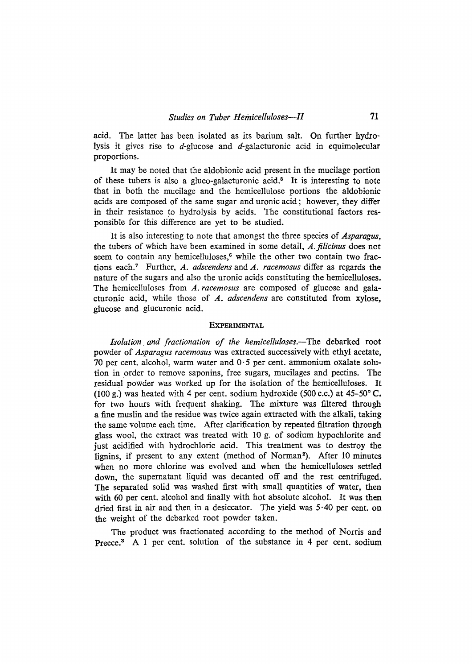acid. The latter has been isolated as its barium salt. On further hydrolysis it gives rise to  $d$ -glucose and  $d$ -galacturonic acid in equimolecular proportions.

It may be noted that the aldobionic acid present in the mucilage portion of these tubers is also a gluco-galacturonic acid.<sup>5</sup> It is interesting to note that in both the mucilage and the hemicellulose portions the aldobionic acids are composed of the same sugar and uronic acid; however, they differ in their resistance to hydrolysis by acids. The constitutional factors responsible for this difference are yet to be studied.

It is also interesting to note that amongst the three species of *Asparagus,*  the tubers of which have been examined in some detail, *A.filicinus* does net seem to contain any hemicelluloses,<sup>6</sup> while the other two contain two fractions eachY Further, *A. adscendens* and *A. raeemosus* differ as regards the nature of the sugars and also the uronic acids constituting the hemicelluloses. The hemicelluloses from *A. racemosus* are composed of glucose and galacturonic acid, while those of *A. adscendens* are constituted from xylose, glucose and glucuronic acid.

#### **EXPERIMENTAL**

*Isolation and fractionation of the hemicelluIoses.--The* debarked root powder of *Asparagus racemosus* was extracted successively with ethyl acetate, 70 per cent. alcohol, warm water and  $0.5$  per cent. ammonium oxalate solution in order to remove saponins, free sugars, mucilages and pectins. The residual powder was worked up for the isolation of the hemicelluloses. It (100 g.) was heated with 4 per cent. sodium hydroxide (500 c.c.) at  $45-50^{\circ}$  C. for two hours with frequent shaking. The mixture was filtered through a fine muslin and the residue was twice again extracted with the alkali, taking the same volume each time. After clarification by repeated filtration through glass wooI, the extract was treated with I0 g. of sodium hypochlorite and just acidified with hydrochloric acid. This treatment was to destroy the lignins, if present to any extent (method of Norman2). After 10 minutes when no more chlorine was evolved and when the hemicelluloses settled down, the supernatant liquid was decanted off and the rest centrifuged. The separated solid was washed first with small quantities of water, then with 60 per cent. alcohol and finally with hot absolute alcohol. It was then dried first in air and then in a desiccator. The yield was 5-40 per cent. on the weight of the debarked root powder taken.

The product was fractionated according to the method of Norris and Preece.<sup>3</sup> A 1 per cent. solution of the substance in 4 per cent. sodium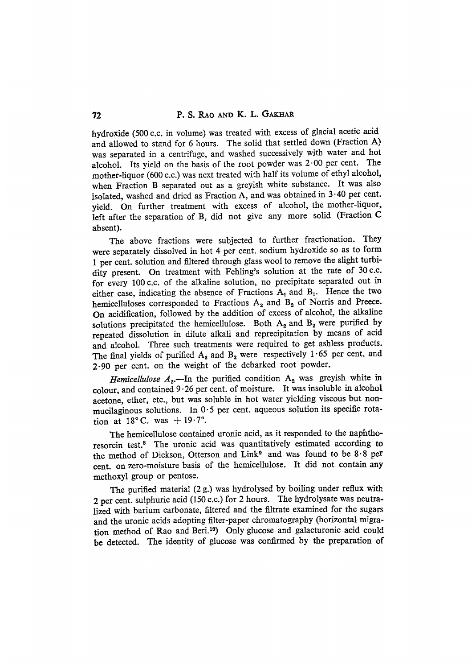hydroxide (500 c.c. in Volume) was treated with excess of glacial acetic acidand allowed to stand for 6 hours. The solid that settled down (Fraction A) was separated in a centrifuge, and washed successively with water and hot alcohol. Its yield on the basis of the root powder was  $2.00$  per cent. The mother-liquor (600 c.c.) was next treated with half its volume of ethyl alcohol, when Fraction B separated out as a greyish white substance. It was also isolated, washed and dried as Fraction A, and was obtained in 3-40 per cent. yield. On further treatment with excess of alcohol, the mother-liquor, left after the separation of B, did not give any more solid (Fraction C absent).

The above fractions were subjected to further fractionation. They were separately dissolved in hot 4 per cent. sodium hydroxide so as to form 1 per cent. solution and filtered through glass wool to remove the slight turbidity present. On treatment with Fehling's solution at the rate of 30 c.c. for every 100 c.c. of the alkaline solution, no precipitate separated out in either case, indicating the absence of Fractions  $A_1$  and  $B_1$ . Hence the two he micelluloses corresponded to Fractions  $A_2$  and  $B_2$  of Norris and Preece. On acidification, followed by the addition of excess of alcohol, the alkaline solutions precipitated the hemicellulose. Both  $A_2$  and  $B_2$  were purified by repeated dissolution in dilute alkali and reprecipitation by means of acid and alcohol. Three such treatments were required to get ashless products. The final yields of purified  $A_2$  and  $B_2$  were respectively 1.65 per cent. and 2.90 per cent. on the weight of the debarked root powder.

*Hemicellulose*  $A_2$ —In the purified condition  $A_2$  was greyish white in colour, and contained  $9.26$  per cent. of moisture. It was insoluble in alcohol acetone, ether, etc., but was soluble in hot water yielding viscous but nonmucilaginous solutions. In  $0.5$  per cent. aqueous solution its specific rotation at  $18^{\circ}$  C. was  $+19.7^{\circ}$ .

The hemicellulose contained uronic acid, as it responded to the naphthoresorcin test? The uronic acid was quantitatively estimated according to the method of Dickson, Otterson and Link<sup>9</sup> and was found to be  $8.8$  per cent. on zero-moisture basis of the hemicellulose. It did not contain any .methoxyl group or pentose.

The purified material (2 g.) was hydrolysed by boiling under reflux with 2 per cent. sulphuric acid (150 c.c.) for 2 hours. The hydrolysate was neutralized with barium carbonate, filtered and the filtrate examined for the sugars and the uronic acids adopting filter-paper chromatography (horizontal migration method of Rao and Beri.<sup>10</sup>) Only glucose and galacturonic acid could be detected. The identity of glucose was confirmed by the preparation of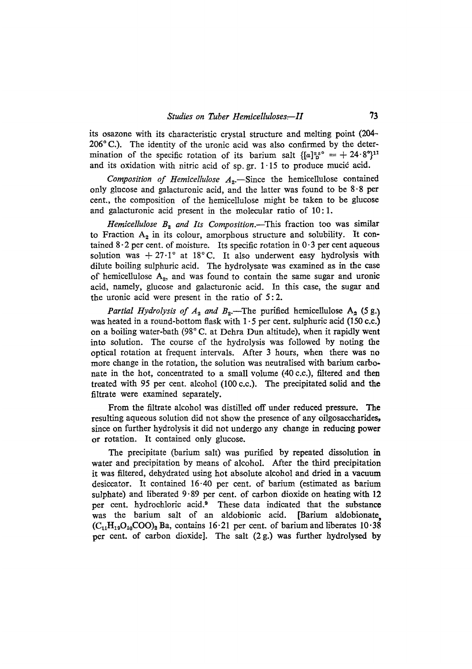its osazone with its characteristic crystal structure and melting point (204-  $206^{\circ}$  C.). The identity of the uronic acid was also confirmed by the determination of the specific rotation of its barium salt  $\{ [a]_p^{2s} \circ f + 24.8^\circ \}$ <sup>11</sup> and its oxidation with nitric acid of sp. gr.  $1 \cdot 15$  to produce mucic acid.

*Composition of Hemicellulose*  $A_2$ .-Since the hemicellulose contained only glucose and galacturonic acid, and the latter was found to be 8-8 per cent., the composition of the hemicellulose might be taken to be glucose and galacturonic acid present in the molecular ratio of 10:1.

*Hemicellulose*  $B_2$  *and Its Composition.*—This fraction too was similar to Fraction  $A_2$  in its colour, amorphous structure and solubility. It contained  $8.2$  per cent. of moisture. Its specific rotation in  $0.3$  per cent aqueous solution was + 27.1° at 18°C. It also underwent easy hydrolysis with dilute boiling sulphuric acid. The hydrolysate was examined as in the case of hemicellulose  $A_2$ , and was found to contain the same sugar and uronic acid, namely, glucose and galacturonic acid. In this case, the sugar and the uronic acid were present in the ratio of 5:2.

*Partial Hydrolysis of A<sub>2</sub> and B<sub>2</sub>.*—The purified hemicellulose  $A_2$  (5 g.) was heated in a round-bottom flask with  $1 \cdot 5$  per cent. sulphuric acid (150 c.c.) on a boiling water-bath (98 $^{\circ}$ C. at Dehra Dun altitude), when it rapidly went into solution. The course of the hydrolysis was followed by noting the optical rotation at frequent intervals. After 3 hours, when there was no more change in the rotation, the solution was neutralised with barium carbonate in the hot, concentrated to a small volume (40 c.c.), filtered and then treated with 95 per cent. alcohol (100 c.c.). The precipitated solid and the filtrate were examined separately.

From the filtrate alcohol was distilled off under reduced pressure. **The**  resulting aqueous solution did not show the presence of any oilgosaccharides, since on further hydrolysis it did not undergo any change in reducing power or rotation. It contained only glucose.

The precipitate (barium salt) was purified by repeated dissolution in water and precipitation by means of alcohol. After the third precipitation it was filtered, dehydrated using hot absolute alcohol and dried in a vacuum desiccator. It contained 16-40 per cent. of barium (estimated as barium sulphate) and liberated  $9.89$  per cent. of carbon dioxide on heating with 12 per cent. hydrochloric acid.<sup>9</sup> These data indicated that the substance was the barium salt of an aldobionic acid. [Barium aldobionate,  $(C_{11}H_{19}O_{10}COO)_2$  Ba, contains 16.21 per cent. of barium and liberates 10.38 per cent. of carbon dioxide]. The salt (2 g.) was further hydrolysed by